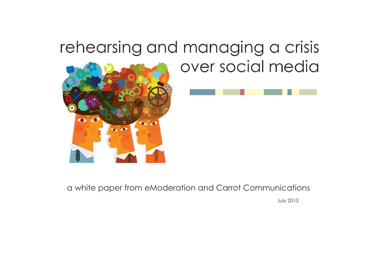# rehearsing and managing a crisis over social media





a white paper from eModeration and Carrot Communications

July 2013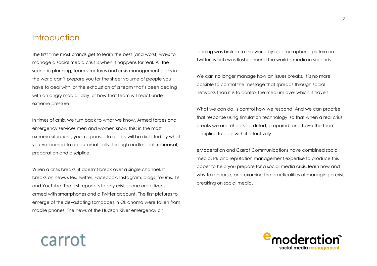## **Introduction**

The first time most brands get to learn the best (and worst) ways to manage a social media crisis is when it happens for real. All the scenario planning, team structures and crisis management plans in the world can't prepare you for the sheer volume of people you have to deal with, or the exhaustion of a team that's been dealing with an angry mob all day, or how that team will react under extreme pressure.

In times of crisis, we turn back to what we know. Armed forces and emergency services men and women know this: in the most extreme situations, your responses to a crisis will be dictated by what you've learned to do automatically, through endless drill, rehearsal, preparation and discipline.

When a crisis breaks, it doesn't break over a single channel. It breaks on news sites, Twitter, Facebook, Instagram, blogs, forums, TV and YouTube. The first reporters to any crisis scene are citizens armed with smartphones and a Twitter account. The first pictures to emerge of the devastating tornadoes in Oklahoma were taken from mobile phones. The news of the Hudson River emergency air

landing was broken to the world by a cameraphone picture on Twitter, which was flashed round the world's media in seconds.

We can no longer manage how an issues breaks. It is no more possible to control the message that spreads through social networks than it is to control the medium over which it travels.

What we can do, is control how we respond. And we can practise that response using simulation technology, so that when a real crisis breaks we are rehearsed, drilled, prepared, and have the team discipline to deal with it effectively.

eModeration and Carrot Communications have combined social media, PR and reputation management expertise to produce this paper to help you prepare for a social media crisis, learn how and why to rehearse, and examine the practicalities of managing a crisis breaking on social media.



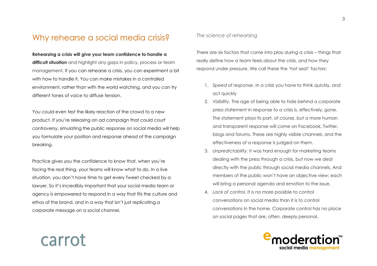# Why rehearse a social media crisis?

**Rehearsing a crisis will give your team confidence to handle a difficult situation** and highlight any gaps in policy, process or team management. If you can rehearse a crisis, you can experiment a bit with how to handle it. You can make mistakes in a controlled environment, rather than with the world watching, and you can try different tones of voice to diffuse tension.

You could even test the likely reaction of the crowd to a new product. If you're releasing an ad campaign that could court controversy, simulating the public response on social media will help you formulate your position and response ahead of the campaign breaking.

Practice gives you the confidence to know that, when you're facing the real thing, your teams will know what to do. In a live situation, you don't have time to get every Tweet checked by a lawyer. So it's incredibly important that your social media team or agency is empowered to respond in a way that fits the culture and ethos of the brand, and in a way that isn't just replicating a corporate message on a social channel.

carrot

#### *The science of rehearsing*

There are six factors that come into play during a crisis – things that really define how a team feels about the crisis, and how they respond under pressure. We call these the 'hot seat' factors:

- 1. *Speed of response*. In a crisis you have to think quickly, and act quickly
- 2. *Visibility*. The age of being able to hide behind a corporate press statement in response to a crisis is, effectively, gone. The statement plays its part, of course, but a more human and transparent response will come on Facebook, Twitter, blogs and forums. These are highly visible channels, and the effectiveness of a response is judged on them.
- 3. *Unpredictability*. It was hard enough for marketing teams dealing with the press through a crisis, but now we deal directly with the public through social media channels. And members of the public won't have an objective view; each will bring a personal agenda and emotion to the issue.
- 4. *Lack of control*. It is no more possible to control conversations on social media than it is to control conversations in the home. Corporate control has no place on social pages that are, often, deeply personal.

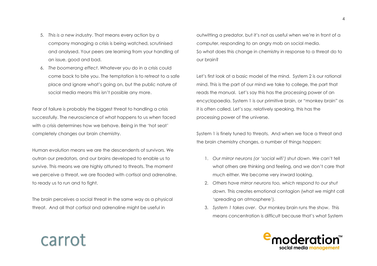- 5. *This is a new industry*. That means every action by a company managing a crisis is being watched, scrutinised and analysed. Your peers are learning from your handling of an issue, good and bad.
- 6. *The boomerang effect*. Whatever you do in a crisis could come back to bite you. The temptation is to retreat to a safe place and ignore what's going on, but the public nature of social media means this isn't possible any more.

Fear of failure is probably the biggest threat to handling a crisis successfully. The neuroscience of what happens to us when faced with a crisis determines how we behave. Being in the 'hot seat' completely changes our brain chemistry.

Human evolution means we are the descendents of survivors. We outran our predators, and our brains developed to enable us to survive. This means we are highly attuned to threats. The moment we perceive a threat, we are flooded with cortisol and adrenaline, to ready us to run and to fight.

The brain perceives a social threat in the same way as a physical threat. And all that cortisol and adrenaline might be useful in

carrot

outwitting a predator, but it's not as useful when we're in front of a computer, responding to an angry mob on social media. So what does this change in chemistry in response to a threat do to our brain?

Let's first look at a basic model of the mind. System 2 is our rational mind. This is the part of our mind we take to college, the part that reads the manual. Let's say this has the processing power of an encyclopaedia. System 1 is our primitive brain, or "monkey brain" as it is often called. Let's say, relatively speaking, this has the processing power of the universe.

System 1 is finely tuned to threats. And when we face a threat and the brain chemistry changes, a number of things happen:

- 1. *Our mirror neurons (or 'social wifi') shut down*. We can't tell what others are thinking and feeling, and we don't care that much either. We become very inward looking.
- 2. *Others have mirror neurons too, which respond to our shut down.* This creates emotional contagion (what we might call 'spreading an atmosphere').
- 3. *System 1 takes over*. Our monkey brain runs the show. This means concentration is difficult because that's what System

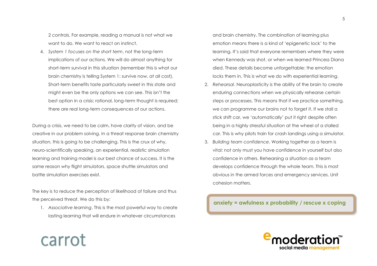2 controls. For example, reading a manual is not what we want to do. We want to react on instinct.

4. *System 1 focuses on the short term*, not the long-term implications of our actions. We will do almost anything for short-term survival in this situation (remember this is what our brain chemistry is telling System 1: survive now, at all cost). Short-term benefits taste particularly sweet in this state and might even be the only options we can see. This isn't the best option in a crisis; rational, long-term thought is required; there are real long-term consequences of our actions.

During a crisis, we need to be calm, have clarity of vision, and be creative in our problem solving. In a threat response brain chemistry situation, this is going to be challenging. This is the crux of why, neuro-scientifically speaking, an experiential, realistic simulation learning and training model is our best chance of success. It is the same reason why flight simulators, space shuttle simulators and battle simulation exercises exist.

The key is to reduce the perception of likelihood of failure and thus the perceived threat. We do this by:

carrot

1. *Associative learning*. This is the most powerful way to create lasting learning that will endure in whatever circumstances

and brain chemistry. The combination of learning plus emotion means there is a kind of 'epigenetic lock' to the learning. It's said that everyone remembers where they were when Kennedy was shot, or when we learned Princess Diana died. These details become unforgettable: the emotion locks them in. This is what we do with experiential learning.

- 2. *Rehearsal*. Neuroplasticity is the ability of the brain to create enduring connections when we physically rehearse certain steps or processes. This means that if we practice something, we can programme our brains not to forget it. If we stall a stick shift car, we 'automatically' put it right despite often being in a highly stressful situation at the wheel of a stalled car. This is why pilots train for crash landings using a simulator.
- 3. *Building team confidence*. Working together as a team is vital: not only must you have confidence in yourself but also confidence in others. Rehearsing a situation as a team develops confidence through the whole team. This is most obvious in the armed forces and emergency services. Unit cohesion matters.

**anxiety = awfulness x probability / rescue x coping**

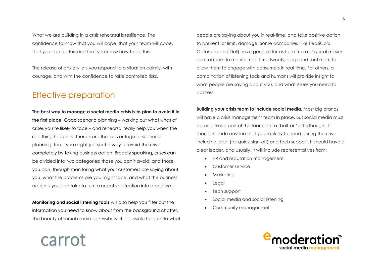What we are building in a crisis rehearsal is resilience. The confidence to know that you will cope, that your team will cope, that you can do this and that you know how to do this.

The release of anxiety lets you respond to a situation calmly, with courage, and with the confidence to take controlled risks.

# Effective preparation

carrot

**The best way to manage a social media crisis is to plan to avoid it in the first place.** Good scenario planning – working out what kinds of crises you're likely to face – and rehearsal really help you when the real thing happens. There's another advantage of scenario planning, too – you might just spot a way to avoid the crisis completely by taking business action. Broadly speaking, crises can be divided into two categories: those you can't avoid; and those you can, through monitoring what your customers are saying about you, what the problems are you might face, and what the business action is you can take to turn a negative situation into a positive.

**Monitoring and social listening tools** will also help you filter out the information you need to know about from the background chatter. The beauty of social media is its visibility: it is possible to listen to what

people are saying about you in real-time, and take positive action to prevent, or limit, damage. Some companies (like PepsiCo's Gatorade and Dell) have gone as far as to set up a physical mission control room to monitor real-time tweets, blogs and sentiment to allow them to engage with consumers in real time. For others, a combination of listening tools and humans will provide insight to what people are saying about you, and what issues you need to address.

**Building your crisis team to include social media.** Most big brands will have a crisis management team in place. But social media must be an intrinsic part of this team, not a 'bolt-on' afterthought. It should include anyone that you're likely to need during the crisis, including legal (for quick sign-off) and tech support. It should have a clear leader, and usually, it will include representatives from:

- PR and reputation management
- Customer service
- Marketing
- **Legal**
- Tech support
- Social media and social listening
- Community management

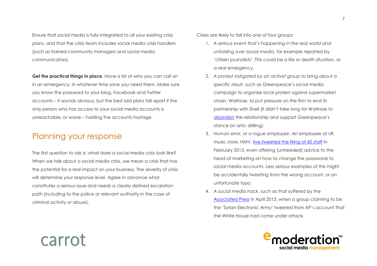Ensure that social media is fully integrated to all your existing crisis plans, and that the crisis team includes social media crisis handlers (such as trained community managers and social media communicators).

**Get the practical things in place***.* Have a list of who you can call on in an emergency, in whatever time zone you need them. Make sure you know the password to your blog, Facebook and Twitter accounts – it sounds obvious, but the best laid plans fall apart if the only person who has access to your social media accounts is unreachable, or worse – holding the accounts hostage.

# Planning your response

The first question to ask is: what does a social media crisis look like? When we talk about a social media crisis, we mean a crisis that has the potential for a real impact on your business. The severity of crisis will determine your response level. Agree in advance what constitutes a serious issue and needs a clearly defined escalation path (including to the police or relevant authority in the case of criminal activity or abuse).

Crises are likely to fall into one of four groups:

- 1. *A serious event that's happening in the real world and unfolding over social media,* for example reported by 'citizen journalists'. This could be a life or death situation, or a real emergency.
- 2. *A protest instigated by an activist group to bring about a specific result*, such as Greenpeace's social media campaign to organise local protest against supermarket chain, Waitrose, to put pressure on the firm to end its partnership with Shell (it didn't take long for Waitrose to [abandon](http://www.greenpeace.org.uk/blog/climate/you-did-it-waitrose-put-shell-relationship-ice-20121212) the relationship and support Greenpeace's stance on artic drilling).
- 3. *Human error, or a rogue employee*. An employee at UK music store, HMV, [live-tweeted the firing of 60 staff](http://www.thedrum.com/opinion/2013/02/01/hmv-twitter-hijack-it-s-hard-believe-there-are-still-social-media-lessons-be) in February 2013, even offering (unheeded) advice to the head of marketing on how to change the passwords to social media accounts. Less serious examples of this might be accidentally tweeting from the wrong account, or an unfortunate typo.
- 4. *A social media hack*, such as that suffered by the [Associated Press](http://www.bbc.co.uk/news/world-us-canada-21508660) in April 2013, when a group claiming to be the 'Syrian Electronic Army' tweeted from AP's account that the White House had come under attack.

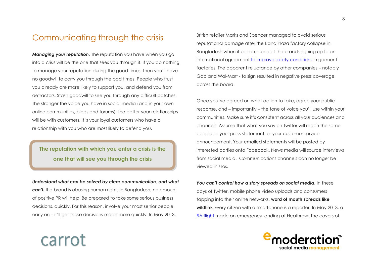# Communicating through the crisis

*Managing your reputation.* The reputation you have when you go into a crisis will be the one that sees you through it. If you do nothing to manage your reputation during the good times, then you'll have no goodwill to carry you through the bad times. People who trust you already are more likely to support you, and defend you from detractors. Stash goodwill to see you through any difficult patches. The stronger the voice you have in social media (and in your own online communities, blogs and forums), the better your relationships will be with customers. It is your loyal customers who have a relationship with you who are most likely to defend you.

## **The reputation with which you enter a crisis is the one that will see you through the crisis**

*Understand what can be solved by clear communication, and what can't.* If a brand is abusing human rights in Bangladesh, no amount of positive PR will help. Be prepared to take some serious business decisions, quickly. For this reason, involve your most senior people early on – it'll get those decisions made more quickly. In May 2013,

carrot

British retailer Marks and Spencer managed to avoid serious reputational damage after the Rana Plaza factory collapse in Bangladesh when it became one of the brands signing up to an international agreement [to improve safety conditions](http://www.independent.co.uk/news/world/asia/bangladesh-factory-collapse-gap-refuses-to-back-safety-deal-8615599.html) in garment factories. The apparent reluctance by other companies – notably Gap and Wal-Mart - to sign resulted in negative press coverage across the board.

Once you've agreed on what action to take, agree your public response, and – importantly – the tone of voice you'll use within your communities. Make sure it's consistent across all your audiences and channels. Assume that what you say on Twitter will reach the same people as your press statement, or your customer service announcement. Your emailed statements will be posted by interested parties onto Facebook. News media will source interviews from social media. Communications channels can no longer be viewed in silos.

You can't control how a story spreads on social media. In these days of Twitter, mobile phone video uploads and consumers tapping into their online networks, **word of mouth spreads like wildfire**. Every citizen with a smartphone is a reporter. In May 2013, a [BA flight](http://news.sky.com/story/1097869/ba-flight-fire-engine-doors-left-unlatched) made an emergency landing at Heathrow. The covers of

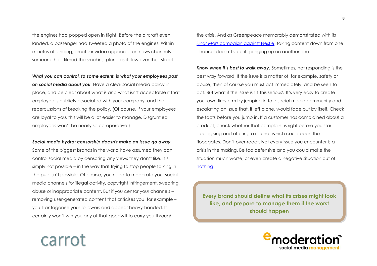the engines had popped open in flight. Before the aircraft even landed, a passenger had Tweeted a photo of the engines. Within minutes of landing, amateur video appeared on news channels – someone had filmed the smoking plane as it flew over their street.

*What you can control, to some extent, is what your employees post* 

*on social media about you.* Have a clear social media policy in place, and be clear about what is and what isn't acceptable if that employee is publicly associated with your company, and the repercussions of breaking the policy. (Of course, if your employees are loyal to you, this will be a lot easier to manage. Disgruntled employees won't be nearly so co-operative.)

#### *Social media hydra: censorship doesn't make an issue go away.*

Some of the biggest brands in the world have assumed they can control social media by censoring any views they don't like. It's simply not possible – in the way that trying to stop people talking in the pub isn't possible. Of course, you need to moderate your social media channels for illegal activity, copyright infringement, swearing, abuse or inappropriate content. But if you censor your channels – removing user-generated content that criticises you, for example – you'll antagonise your followers and appear heavy-handed. It certainly won't win you any of that goodwill to carry you through

carrot

the crisis. And as Greenpeace memorably demonstrated with its [Sinar Mars campaign against Nestle,](http://www.cnn.com/2010/WORLD/asiapcf/03/19/indonesia.rainforests.orangutan.nestle/index.html) taking content down from one channel doesn't stop it springing up on another one.

*Know when it's best to walk away.* Sometimes, not responding is the best way forward. If the issue is a matter of, for example, safety or abuse, then of course you must act immediately, and be seen to act. But what if the issue isn't this serious? It's very easy to create your own firestorm by jumping in to a social media community and escalating an issue that, if left alone, would fade out by itself. Check the facts before you jump in. If a customer has complained about a product, check whether that complaint is right before you start apologising and offering a refund, which could open the floodgates. Don't over-react. Not every issue you encounter is a crisis in the making. Be too defensive and you could make the situation much worse, or even create a negative situation out of [nothing.](http://www.tnooz.com/2012/10/17/news/lowcostholidays-scores-a-social-media-coup-while-thomas-cook-scrambles-to-respond/)

**Every brand should define what its crises might look like, and prepare to manage them if the worst should happen**

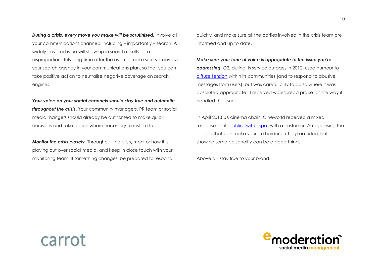*During a crisis, every move you make will be scrutinised.* Involve all your communications channels, including – importantly – search. A widely covered issue will show up in search results for a disproportionately long time after the event – make sure you involve your search agency in your communications plan, so that you can take positive action to neutralise negative coverage on search engines.

*Your voice on your social channels should stay true and authentic throughout the crisis*. Your community managers, PR team or social media mangers should already be authorised to make quick decisions and take action where necessary to restore trust.

*Monitor the crisis closely.* Throughout the crisis, monitor how it is playing out over social media, and keep in close touch with your monitoring team. If something changes, be prepared to respond

quickly, and make sure all the parties involved in the crisis team are informed and up to date.

*Make sure your tone of voice is appropriate to the issue you're* 

*addressing*. O2, during its service outages in 2012, used humour to [diffuse tension](http://www.wired.co.uk/news/archive/2012-07/17/o2-outage-social-media-masterclass) within its communities (and to respond to abusive messages from users), but was careful only to do so where it was absolutely appropriate. It received widespread praise for the way it handled the issue.

In April 2013 UK cinema chain, Cineworld received a mixed response for its [public Twitter spat](https://twitter.com/cineworld/status/326734056131805184) with a customer. Antagonising the people that can make your life harder isn't a great idea, but showing some personality can be a good thing.

Above all, stay true to your brand.



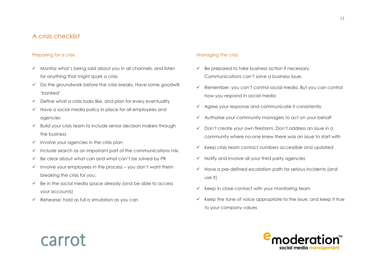## A crisis checklist

### Preparing for a crisis

- $\checkmark$  Monitor what's being said about you in all channels, and listen for anything that might spark a crisis
- $\checkmark$  Do the groundwork before the crisis breaks. Have some goodwill 'banked'
- $\checkmark$  Define what a crisis looks like, and plan for every eventuality
- $\checkmark$  Have a social media policy in place for all employees and agencies
- $\checkmark$  Build your crisis team to include senior decision makers through the business
- $\checkmark$  Involve your agencies in the crisis plan
- $\checkmark$  Include search as an important part of the communications mix
- $\checkmark$  Be clear about what can and what can't be solved by PR
- $\checkmark$  Involve your employees in the process you don't want them breaking the crisis for you.
- $\checkmark$  Be in the social media space already (and be able to access your accounts)
- $\checkmark$  Rehearse: hold as full a simulation as you can

carrot

#### Managing the crisis

- $\checkmark$  Be prepared to take business action if necessary. Communications can't solve a business issue.
- $\checkmark$  Remember: you can't control social media. But you can control how you respond in social media
- $\checkmark$  Agree your response and communicate it consistently
- $\checkmark$  Authorise your community managers to act on your behalf
- Don't create your own firestorm. Don't address an issue in a community where no-one knew there was an issue to start with
- $\checkmark$  Keep crisis team contact numbers accessible and updated
- $\checkmark$  Notify and involve all your third party agencies
- $\checkmark$  Have a pre-defined escalation path for serious incidents (and use it)
- $\checkmark$  Keep in close contact with your monitoring team
- $\checkmark$  Keep the tone of voice appropriate to the issue; and keep it true to your company values